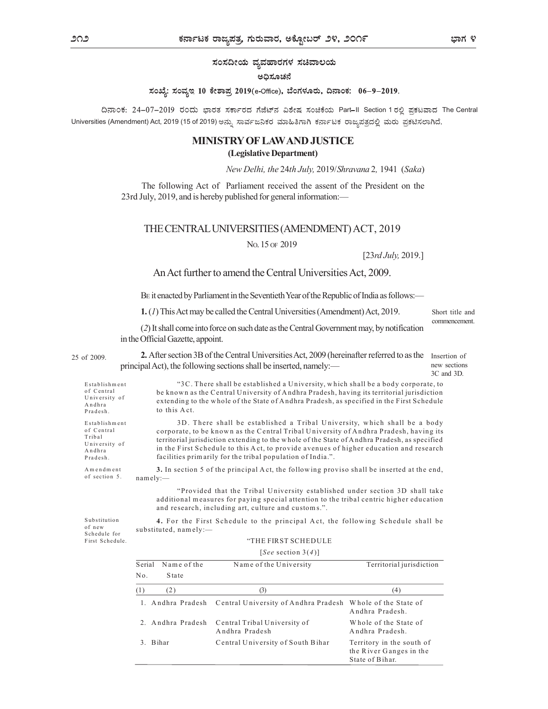ಸಂಸದೀಯ ವ್ಯವಹಾರಗಳ ಸಚಿವಾಲಯ

## ಅದಿಸೂಚನೆ

ಸಂಖ್ಯೆ: ಸಂವ್ಯಇ 10 ಕೇಶಾಪ್ರ 2019(e-Office), ಬೆಂಗಳೂರು, ದಿನಾಂಕ: 06-9-2019.

ದಿನಾಂಕ: 24-07-2019 ರಂದು ಭಾರತ ಸರ್ಕಾರದ ಗೆಜೆಟ್ನ್ ವಿಶೇಷ ಸಂಚಿಕೆಯ Part-II Section 1 ರಲ್ಲಿ ಪ್ರಕಟವಾದ The Central Universities (Amendment) Act, 2019 (15 of 2019) ಅನ್ನು ಸಾರ್ವಜನಿಕರ ಮಾಹಿತಿಗಾಗಿ ಕರ್ನಾಟಕ ರಾಜ್ಮಪತ್ರದಲ್ಲಿ ಮರು ಪ್ರಕಟಿಸಲಾಗಿದೆ.

## MINISTRY OF LAW AND JUSTICE

(Legislative Department)

## THE CENTRAL UNIVERSITIES (AMENDMENT) ACT, 2019

## An Act further to amend the Central Universities Act, 2009.

|                                                                              |                                                                                                          |                                   | (Legislative Department)                                                                                                                                                                                                                                                                                                                                                                                                   |                                                                         |                                            |
|------------------------------------------------------------------------------|----------------------------------------------------------------------------------------------------------|-----------------------------------|----------------------------------------------------------------------------------------------------------------------------------------------------------------------------------------------------------------------------------------------------------------------------------------------------------------------------------------------------------------------------------------------------------------------------|-------------------------------------------------------------------------|--------------------------------------------|
|                                                                              |                                                                                                          |                                   | New Delhi, the 24th July, 2019/Shravana 2, 1941 (Saka)                                                                                                                                                                                                                                                                                                                                                                     |                                                                         |                                            |
|                                                                              |                                                                                                          |                                   | The following Act of Parliament received the assent of the President on the<br>23rd July, 2019, and is hereby published for general information:-                                                                                                                                                                                                                                                                          |                                                                         |                                            |
|                                                                              |                                                                                                          |                                   | THE CENTRAL UNIVERSITIES (AMENDMENT) ACT, 2019                                                                                                                                                                                                                                                                                                                                                                             |                                                                         |                                            |
|                                                                              |                                                                                                          |                                   | No. 15 OF 2019                                                                                                                                                                                                                                                                                                                                                                                                             |                                                                         |                                            |
|                                                                              |                                                                                                          |                                   |                                                                                                                                                                                                                                                                                                                                                                                                                            | [23rd July, 2019.]                                                      |                                            |
|                                                                              |                                                                                                          |                                   | An Act further to amend the Central Universities Act, 2009.                                                                                                                                                                                                                                                                                                                                                                |                                                                         |                                            |
|                                                                              |                                                                                                          |                                   | BE it enacted by Parliament in the Seventieth Year of the Republic of India as follows:—                                                                                                                                                                                                                                                                                                                                   |                                                                         |                                            |
|                                                                              |                                                                                                          |                                   | 1. (1) This Act may be called the Central Universities (Amendment) Act, 2019.                                                                                                                                                                                                                                                                                                                                              |                                                                         | Short title and                            |
|                                                                              |                                                                                                          | in the Official Gazette, appoint. | (2) It shall come into force on such date as the Central Government may, by notification                                                                                                                                                                                                                                                                                                                                   |                                                                         | commencement.                              |
| f 2009.                                                                      |                                                                                                          |                                   | 2. After section 3B of the Central Universities Act, 2009 (hereinafter referred to as the<br>principal Act), the following sections shall be inserted, namely:—                                                                                                                                                                                                                                                            |                                                                         | Insertion of<br>new sections<br>3C and 3D. |
| Establishment<br>of Central<br>University of<br>Andhra<br>Pradesh.           |                                                                                                          | to this Act.                      | "3C. There shall be established a University, which shall be a body corporate, to<br>be known as the Central University of Andhra Pradesh, having its territorial jurisdiction<br>extending to the whole of the State of Andhra Pradesh, as specified in the First Schedule                                                                                                                                                |                                                                         |                                            |
| Establishment<br>of Central<br>Tribal<br>University of<br>Andhra<br>Pradesh. |                                                                                                          |                                   | 3D. There shall be established a Tribal University, which shall be a body<br>corporate, to be known as the Central Tribal University of Andhra Pradesh, having its<br>territorial jurisdiction extending to the whole of the State of Andhra Pradesh, as specified<br>in the First Schedule to this Act, to provide avenues of higher education and research<br>facilities primarily for the tribal population of India.". |                                                                         |                                            |
| Amendment<br>of section 5.                                                   |                                                                                                          | namely:                           | 3. In section 5 of the principal Act, the following proviso shall be inserted at the end,                                                                                                                                                                                                                                                                                                                                  |                                                                         |                                            |
|                                                                              |                                                                                                          |                                   | "Provided that the Tribal University established under section 3D shall take<br>additional measures for paying special attention to the tribal centric higher education<br>and research, including art, culture and customs.".                                                                                                                                                                                             |                                                                         |                                            |
| Substitution<br>of new<br>Schedule for                                       | 4. For the First Schedule to the principal Act, the following Schedule shall be<br>substituted, namely:- |                                   |                                                                                                                                                                                                                                                                                                                                                                                                                            |                                                                         |                                            |
| First Schedule.                                                              |                                                                                                          |                                   | "THE FIRST SCHEDULE<br>[See section 3(4)]                                                                                                                                                                                                                                                                                                                                                                                  |                                                                         |                                            |
|                                                                              |                                                                                                          | Serial Name of the                | Name of the University                                                                                                                                                                                                                                                                                                                                                                                                     | Territorial jurisdiction                                                |                                            |
|                                                                              | No.                                                                                                      | State                             |                                                                                                                                                                                                                                                                                                                                                                                                                            |                                                                         |                                            |
|                                                                              | (1)                                                                                                      | (2)                               | (3)                                                                                                                                                                                                                                                                                                                                                                                                                        | (4)                                                                     |                                            |
|                                                                              |                                                                                                          |                                   | 1. Andhra Pradesh Central University of Andhra Pradesh Whole of the State of                                                                                                                                                                                                                                                                                                                                               | Andhra Pradesh.                                                         |                                            |
|                                                                              |                                                                                                          | 2. Andhra Pradesh                 | Central Tribal University of<br>Andhra Pradesh                                                                                                                                                                                                                                                                                                                                                                             | Whole of the State of<br>Andhra Pradesh.                                |                                            |
|                                                                              |                                                                                                          | 3. Bihar                          | Central University of South Bihar                                                                                                                                                                                                                                                                                                                                                                                          | Territory in the south of<br>the River Ganges in the<br>State of Bihar. |                                            |